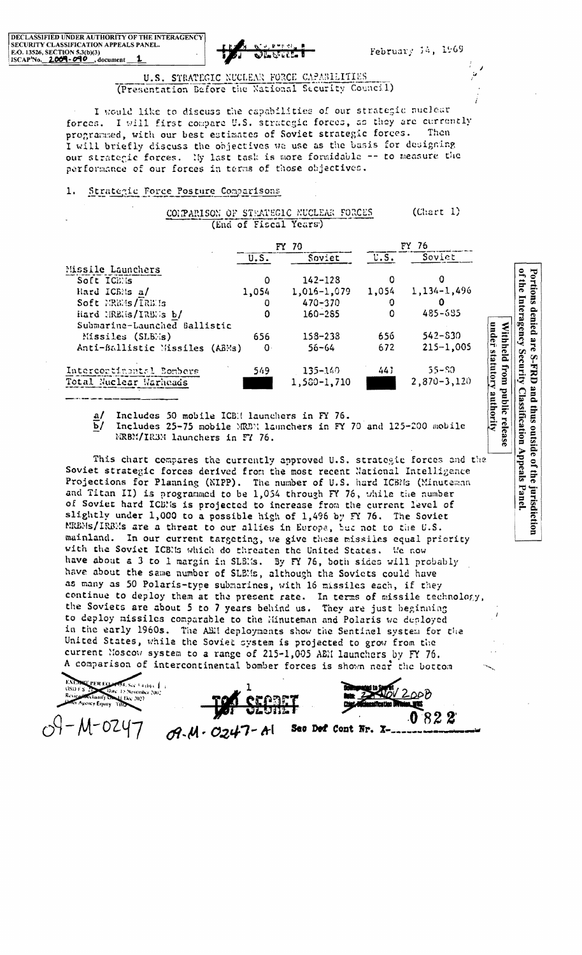

February 14, 1969

U.S. STRATEGIC NUCLEAR FORCE CAPABILITIES (Presentation Before the National Security Council)

I would like to discuss the capabilities of our strategic nuclear forces. I will first compare U.S. strategic forces, as they are currently programmed, with our best estimates of Soviet strategic forces. Then I will briefly discuss the objectives we use as the basis for designing our strategic forces. Ny last task is more formidable -- to measure the performance of our forces in terms of those objectives.

#### 1. Strategic Force Posture Comparisons

|                                |              | FY 70           |          | FY 76           |  |  |
|--------------------------------|--------------|-----------------|----------|-----------------|--|--|
|                                | U.S.         | Soviet          | U.S.     | Soviet          |  |  |
| Missile Launchers              |              |                 |          |                 |  |  |
| Soft ICENs                     | 0            | $142 - 128$     | 0        |                 |  |  |
| Hard ICEMs a/                  | 1,054        | $1,016 - 1,079$ | 1,054    | $1,134-1,496$   |  |  |
| Soft MREMs/IRE Is              | 0            | $470 - 370$     | 0        | 0               |  |  |
| Hard MREMs/IREMs b/            | $\Omega$     | $160 - 285$     | $\Omega$ | 485-685         |  |  |
| Submarine-Launched Ballistic   |              |                 |          |                 |  |  |
| Missiles (SLEMs)               | 656          | $158 - 238$     | 656 -    | $542 - 530$     |  |  |
| Anti-Ballistic Missiles (ABMs) | $\mathbf{0}$ | $56 - 64$       | 672      | $215 - 1,005$   |  |  |
| Intercortinantsl Bombers       | 549          | $135 - 140$     | 441      | $55 - 50$       |  |  |
| Total Nuclear Warheads         |              | 1,580-1,710     |          | $2,870 - 3,120$ |  |  |

This chart compares the currently approved U.S. strategic forces and the Soviet strategic forces derived from the most recent National Intelligence Projections for Planning (NIPP). The number of U.S. hard ICBMs (Minuteman and Titan II) is programmed to be 1,054 through FY 76, while the number of Soviet hard ICBMs is projected to increase from the current level of slightly under 1,000 to a possible high of 1,496 by FY 76. The Soviet MREMS/IRBMs are a threat to our allies in Europe, but not to the U.S. mainland. In our current targeting, we give these missiles equal priority with the Soviet ICBMs which do threaten the United States. We now have about a 3 to 1 margin in SLBMs. By FY 76, both sides will probably have about the same number of SLEMs, although the Soviets could have as many as 50 Polaris-type submarines, with 16 missiles each, if they continue to deploy them at the present rate. In terms of missile technology, the Soviets are about 5 to 7 years behind us. They are just beginning to deploy missiles comparable to the Minuteman and Polaris we deployed in the early 1960s. The ABH deployments show the Sentinel system for the United States, while the Soviet system is projected to grow from the current Moscow system to a range of 215-1,005 ABM launchers by FY 76. A comparison of intercontinental bomber forces is shown near the bottom

 $58.5c$ c 3 4 (b) (  $\frac{1}{2}$ Date: 15 November 2002 Celassify On El Dec 2027 mey Equay THD

 $M-0247$ 

822  $09 - 11 - 0247$ Sec Def Cont Nr. X-

of the Interagency Security Classification Appeals Panel. Portions denied are S-FRD and thus outside of the jurisdiction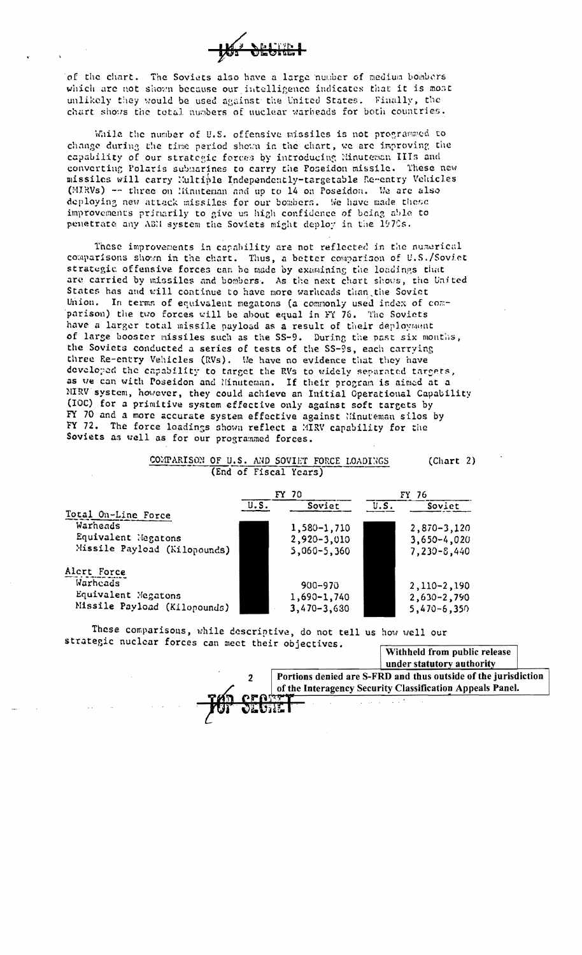

of the chart. The Soviets also have a large number of medium bombers which are not shown because our intelligence indicates that it is most unlikely they would be used against the United States. Finally, the chart shows the total numbers of nuclear warheads for both countries.

While the number of U.S. offensive missiles is not programmed to change during the time period shown in the chart, we are improving the capability of our strategic forces by introducing Minuteman IIIs and converting Polaris submarines to carry the Poseidon missile. These new missiles will carry Multible Independently-targetable Re-entry Vehicles (MIRVs) -- three on Hinnteman and up to 14 on Poseidon. We are also deploying new attack missiles for our bombers. We have made these improvements primarily to give us high confidence of being able to penetrate any ABM system the Soviets might deploy in the 1970s.

These improvements in capability are not reflected in the numerical comparisons shown in the chart. Thus, a better comparison of U.S./Soviet strategic offensive forces can be made by examining the loadings that are carried by missiles and bombers. As the next chart shows, the United States has and will continue to have more warkeads than the Soviet Union. In terms of equivalent megatons (a commonly used index of comparison) the two forces will be about equal in FY 76. The Soviets have a larger total missile payload as a result of their deployment of large booster missiles such as the SS-9. During the past six months, the Soviets conducted a series of tests of the SS-9s, each carrying three Re-entry Vehicles (RVs). We have no evidence that they have developed the capability to target the RVs to widely separated targets, as we can with Poseidon and Ninuteman. If their program is aimed at a MIRV system, however, they could achieve an Initial Operational Capability (IOC) for a primitive system effective only against soft targets by FY 70 and a more accurate system effective against Ninuteman silos by FY 72. The force loadings shown reflect a MIRV capability for the Soviets as well as for our programmed forces.

|                              | (End of Fiscal Years) |                 |       |                 |  |
|------------------------------|-----------------------|-----------------|-------|-----------------|--|
|                              |                       | FY 70           | FY 76 |                 |  |
|                              | U.S.                  | Soviet          | U.S.  | Soviet          |  |
| Total On-Line Force          |                       |                 |       |                 |  |
| Warneads                     |                       | 1,580-1,710     |       | $2,870 - 3,120$ |  |
| Equivalent Megatons          |                       | $2,920 - 3,010$ |       | $3,650 - 4,020$ |  |
| Missile Payload (Kilopounds) |                       | $5,060 - 5,360$ |       | $7,230 - 8,440$ |  |
| Alert Force                  |                       |                 |       |                 |  |
| Warheads                     |                       | $900 - 970$     |       | $2,110-2,190$   |  |
| Equivalent Megatons          |                       | 1,690-1,740     |       | 2,630-2,790     |  |
| Missile Payload (Kilopounds) |                       | $3,470 - 3,630$ |       | $5,470 - 6,350$ |  |

COMPARISON OF U.S. AND SOVIET FORCE LOADINGS

These comparisons, while descriptive, do not tell us how well our strategic nuclear forces can meet their objectives.

Withheld from public release under statutory authority

 $(Chapter 2)$ 



Portions denied are S-FRD and thus outside of the jurisdiction of the Interagency Security Classification Appeals Panel.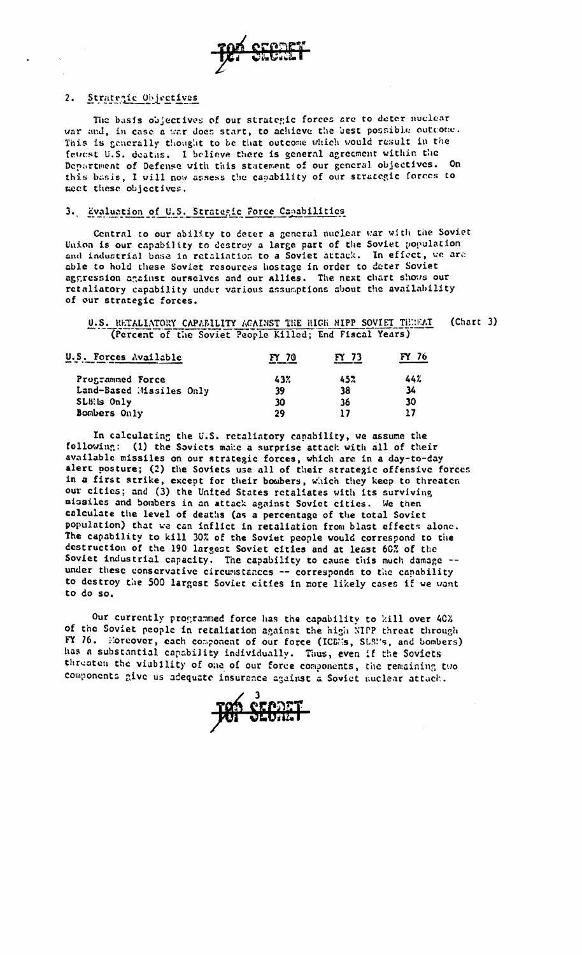

### 2. Strategic Objectives

The basis objectives of our strategic forces are to deter nuclear war and, in case a war does start, to achieve the best possible outcome. This is generally thought to be that outcome which would result in the fewest U.S. deaths. I believe there is general agreement within the Department of Defense with this statement of our general objectives. On this basis, I will now assess the capability of our strategic forces to meet these objectives.

### 3. Evaluation of U.S. Strategic Force Capabilities

Central to our ability to deter a general nuclear war with the Soviet Union is our capability to destroy a large part of the Soviet population and industrial base in retaliation to a Soviet attack. In effect, we are able to hold these Soviet resources hostage in order to deter Soviet aggression against ourselves and our allies. The next chart shows our retaliatory capability under various assumptions about the availability of our strategic forces.

#### (Chart 3) U.S. RETALIATORY CAPABILITY AGAINST THE HIGH MIPP SOVIET THREAT (Percent of the Soviet People Killed; End Fiscal Years)

| U.S. Forces Available    | FY 70 | FY 73 | FY 76 |  |
|--------------------------|-------|-------|-------|--|
| Programmed Force         | 43%   | 45%   | 442   |  |
| Land-Based Missiles Only | 39    | 38    | 34    |  |
| SLB: is Only             | 30    | 36    | 30    |  |
| Bombers Only             | 29    |       |       |  |

In calculating the U.S. retaliatory capability, we assume the following: (1) the Soviets make a surprise attack with all of their available missiles on our strategic forces, which are in a day-to-day alert posture; (2) the Soviets use all of their strategic offensive forces in a first strike, except for their bombers, which they keep to threaten our cities; and (3) the United States retaliates with its surviving missiles and bombers in an attack against Soviet cities. We then calculate the level of deaths (as a percentage of the total Soviet population) that we can inflict in retaliation from blast effects alone. The capability to kill 30% of the Soviet people would correspond to the destruction of the 190 largest Soviet cities and at least 60% of the Soviet industrial capacity. The capability to cause this much damage -under these conservative circumstances -- corresponds to the capability to destroy the 500 largest Soviet cities in more likely cases if we want to do so.

Our currently programmed force has the capability to kill over 40% of the Soviet people in retaliation against the high NIPP threat through FY 76. Noreover, each component of our force (ICEN's, SLEN's, and bombers) has a substantial capability individually. Thus, even if the Soviets threaten the viability of one of our force components, the remaining two components give us adequate insurance against a Soviet nuclear attack.

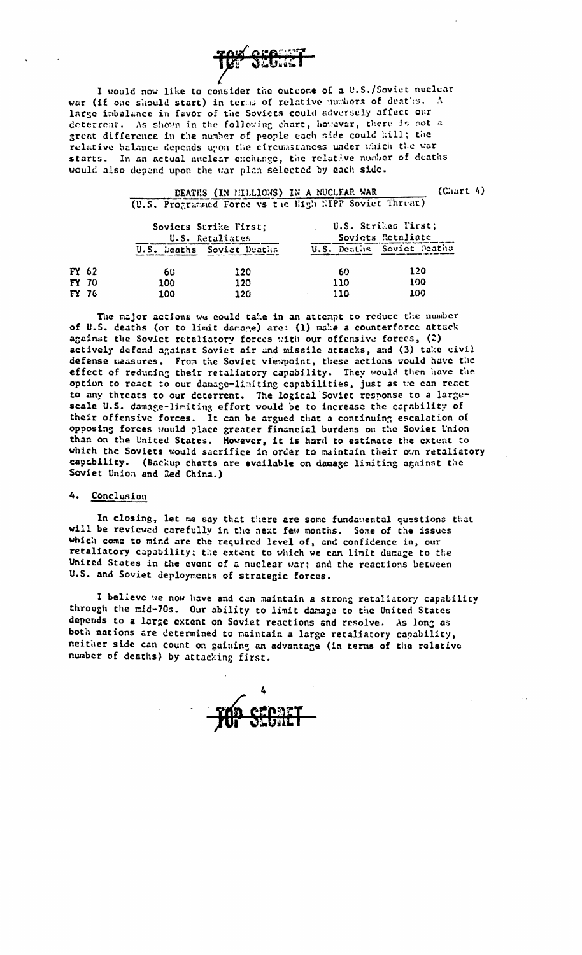

I would now like to consider the cutcome of a U.S./Soviet nuclear war (if one should start) in terms of relative numbers of deaths. A large imbalance in favor of the Soviets could adversely affect our deterrent. As shown in the following chart, however, there is not a great difference in the number of people each side could kill; the relative belance depends upon the circumstances under which the war starts. In an actual nuclear exchange, the relative number of deaths would also depend upon the war plan selected by each side.

|              |                 | DEATHS (IN HILLIONS) IN A NUCLEAR WAR                  |     | $(C.\arct 4)$             |
|--------------|-----------------|--------------------------------------------------------|-----|---------------------------|
|              |                 | (U.S. Programmed Force vs the High EIPP Soviet Threat) |     |                           |
|              |                 | Soviets Strike First;                                  |     | U.S. Strikes Pirst;       |
|              | U.S. Retaliates |                                                        |     | Soviets Retaliate         |
|              |                 | U.S. beaths Soviet Deaths                              |     | U.S. Deaths Soviet Deaths |
| FY 62        | 60              | 120                                                    | 60  | 120                       |
| <b>FY 70</b> | 100             | 120                                                    | 110 | 100                       |
| <b>FY 76</b> | 100             | 120                                                    | 110 | 100                       |

The major actions we could take in an attempt to reduce the number of U.S. deaths (or to limit damage) are: (1) make a counterforce attack against the Soviet retaliatory forces with our offensive forces, (2) actively defend against Soviet air and missile attacks, and (3) take civil defense measures. From the Soviet viewpoint, these actions would have the effect of reducing their retaliatory capability. They would then have the option to react to our damage-limiting capabilities, just as we can react to any threats to our deterrent. The logical Soviet response to a largescale U.S. damage-limiting effort would be to increase the capability of their offensive forces. It can be argued that a continuing escalation of opposing forces would place greater financial burdens on the Soviet Union than on the United States. However, it is hard to estimate the extent to which the Soviets would sacrifice in order to maintain their own retaliatory capability. (Backup charts are available on damage limiting against the Soviet Union and Red China.)

### 4. Conclusion

In closing, let me say that there are some fundamental questions that will be reviewed carefully in the next few months. Some of the issues which come to mind are the required level of, and confidence in, our retaliatory capability; the extent to which we can limit damage to the United States in the event of a nuclear war; and the reactions between U.S. and Soviet deployments of strategic forces.

I believe we now have and can maintain a strong retaliatory capability through the mid-70s. Our ability to limit damage to the United States depends to a large extent on Soviet reactions and resolve. As long as both nations are determined to maintain a large retaliatory capability, neither side can count on gaining an advantage (in terms of the relative number of deaths) by attacking first.

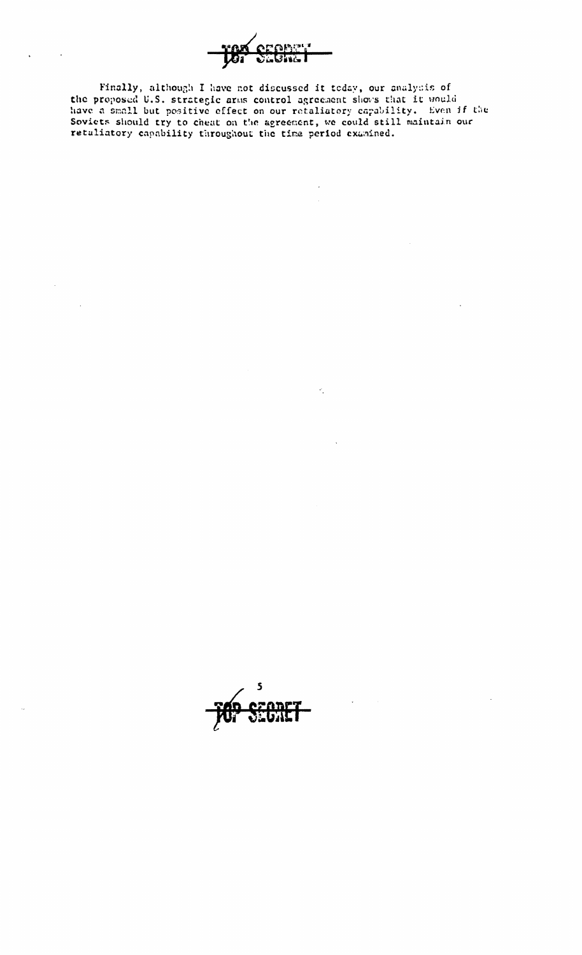

Finally, although I have not discussed it today, our analysis of the proposed U.S. strategic arms control agreement shows that it would<br>have a small but positive effect on our retaliatory capability. Even if the<br>Soviets should try to cheat on the agreement, we could still maintain our<br>r

 $\mathcal{C}_{\mathbf{z}}$ 

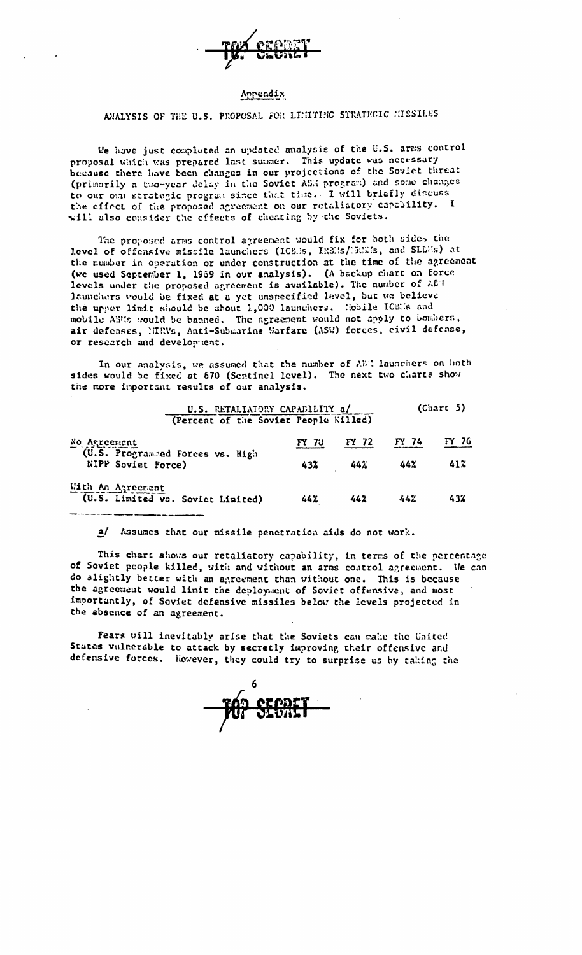

#### Appendix

# AMALYSIS OF THE U.S. PROPOSAL FOR LIMITIMO STRATEGIC MISSILES

We have just completed an updated analysis of the U.S. arms control proposal which was prepared last summer. This update was necessary because there have been changes in our projections of the Soviet threat (primarily a two-year delay in the Soviet AEM program) and some changes to our oun strategic program since that the. I will briefly discuss the effect of the proposed agreement on our retaliatory capability. I will also consider the effects of cheating by the Soviets.

The proposed arms control agreement would fix for both sides the level of offensive missile launchers (ICS. is, IREIs/13021s, and SLDMs) at the number in operation or under construction at the time of the agreement (we used September 1, 1969 in our analysis). (A backup chart on force levels under the proposed agreement is available). The number of ABT launchers would be fixed at a yet unspecified level, but we believe the upper limit should be about 1,000 launchers. Nobile ICSNs and mobile ABMs would be banned. The agreement would not apply to bombers, air defenses, MIRVs, Anti-Submarine Warfare (ASW) forces, civil defense, or research and development.

In our analysis, we assumed that the number of ABC launchers on both sides would be fixed at 670 (Sentinel level). The next two charts show the more important results of our analysis.

| U.S. RETALIATORY CAPABILITY a/<br>(Percent of the Soviet People Killed) |                 |       | (Chapter 5) |        |
|-------------------------------------------------------------------------|-----------------|-------|-------------|--------|
| No Asreement                                                            | $\mathbf{N}$ 70 | FY 72 | FY 74       | FY 76  |
| (U.S. Programmed Forces vs. High<br><b>NIPP</b> Soviet Force)           | 432             | 442   | 44%         | $41\%$ |
| Mith An Agreement<br>(U.S. Limited vs. Soviet Limited)                  | 44%             | 442   | 44%         | 432    |

a/ Assumes that our missile penetration aids do not work.

This chart shows our retaliatory capability, in terms of the percentage of Soviet people killed, with and without an arms coatrol agreement. We can do slightly better with an agreement than without one. This is because the agreement would limit the deployment of Soviet offensive, and most importantly, of Soviet defensive missiles below the levels projected in the absence of an agreement.

Fears will inevitably arise that the Soviets can make the United States vulnerable to attack by secretly improving their offensive and defensive forces. However, they could try to surprise us by taking the

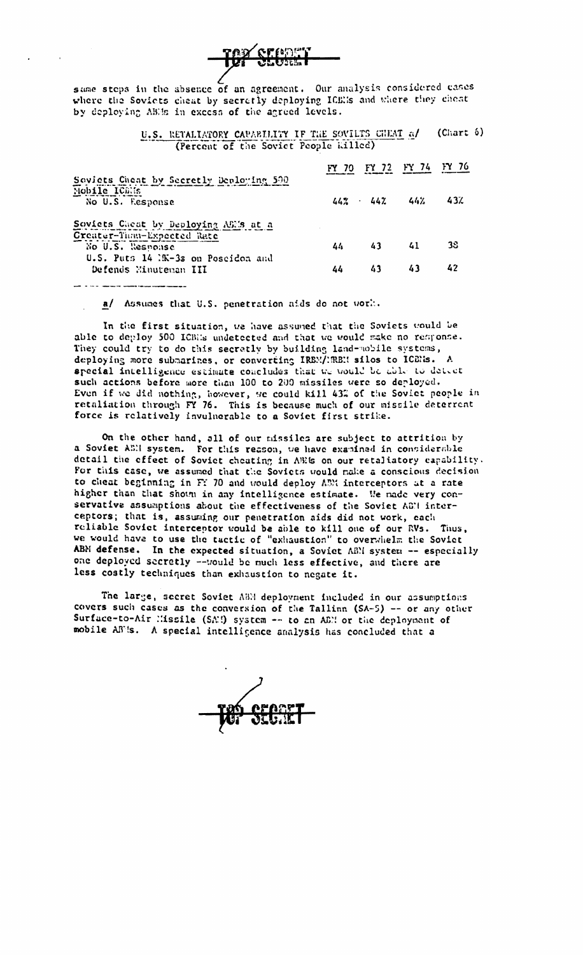

same steps in the absence of an agreement. Our analysis considered cases where the Soviets cheat by secretly deploying ICBEs and where they cheat by deploying AE/s in excess of the agreed levels.

> $(Chapter 6)$ U.S. RETALIATORY CAPABILITY IF THE SOVILTS CHEAT of (Percent of the Soviet People killed)

| Soviets Cheat by Secretly Deploying 500                     |    |                      | FY 72 FY 74 | FY 76 |
|-------------------------------------------------------------|----|----------------------|-------------|-------|
| Nobile ICEIS                                                |    |                      |             |       |
| No U.S. Response                                            |    | $44\%$ $44\%$ $44\%$ |             | 43%   |
| Soviets Cheat by Deploying ASMs at a                        |    |                      |             |       |
| Creater-Than-Expected Rate                                  |    |                      |             |       |
| No U.S. Response                                            | 44 | 43                   | 41          | 38    |
| U.S. Puts 14 1K-3s on Poscidon and<br>Defends Minuteman III | 44 | 43                   | 43          | 42    |
|                                                             |    |                      |             |       |

a/ Assumes that U.S. penetration aids do not work.

In the first situation, we have assumed that the Soviets would be able to deploy 500 ICBEs undetected and that we would make no response. They could try to do this secretly by building land-nobile systems, deploying more submarines, or converting IRBM/NRBM silos to ICBMs. A special intelligence estimate concludes that we would be able to detect such actions before more than 100 to 200 missiles were so deployed. Even if we did nothing, however, we could kill 43% of the Soviet people in retaliation through FY 76. This is because much of our missile deterrent force is relatively invulnerable to a Soviet first strike.

On the other hand, all of our missiles are subject to attrition by a Soviet AEN system. For this reason, we have examined in considerable detail the effect of Soviet cheating in AEIs on our retaliatory capability. For this case, we assumed that the Soviets would make a conscious decision to cheat beginning in Ff 70 and would deploy ABM interceptors at a rate higher than that shown in any intelligence estimate. We nade very conservative assumptions about the effectiveness of the Soviet AGM interceptors; that is, assuming our penetration aids did not work, each reliable Soviet interceptor would be able to kill one of our RVs. Thus, we would have to use the tactic of "exhaustion" to overwhelm the Soviet ABM defense. In the expected situation, a Soviet ABM system -- especially one deployed secretly --vould be much less effective, and there are less costly techniques than exhaustion to negate it.

The large, secret Soviet ABM deployment included in our assumptions covers such cases as the conversion of the Tallinn (SA-5) -- or any other Surface-to-Air Missile (SAM) system -- to an ABM or the deployment of mobile ABMs. A special intelligence analysis has concluded that a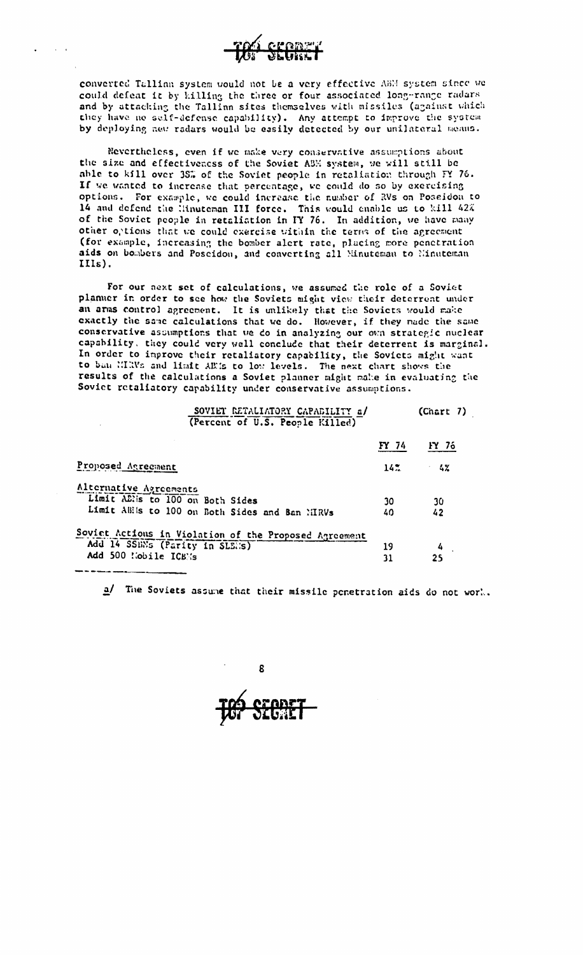

converted Tallinn system would not be a very effective ABM system since we could defeat it by killing the three or four associated long-range radars and by attacking the Tallinn sites themselves with missiles (against which they have no self-defense capability). Any attempt to improve the system by deploying new radars would be easily detected by our unilateral means.

Nevertheless, even if we make very conservative assumptions about the size and effectiveness of the Soviet ABM system, we will still be able to kill over 35% of the Soviet people in retaliation through FY 76. If we wanted to increase that percentage, we could do so by exercising options. For example, we could increase the number of RVs on Possidon to 14 and defend the Hinuteman III force. This would enable us to kill 42% of the Soviet people in retaliation in FY 76. In addition, we have many other options that we could exercise within the terms of the agreement (for example, increasing the bomber alert rate, placing more penetration aids on bombers and Poscidon, and converting all Minuteman to Minuteman IIIs).

For our next set of calculations, we assumed the role of a Soviet planuer in order to see how the Soviets might view their deterrent under an arms control agreement. It is unlikely that the Soviets would make exactly the same calculations that we do. However, if they made the same conservative assumptions that we do in analyzing our own strategic nuclear capability. they could very well conclude that their deterrent is marginal. In order to improve their retaliatory capability, the Soviets might want to ban MIRVs and Hait AE1s to low levels. The next chart shows the results of the calculations a Soviet planner might make in evaluating the Soviet retaliatory capability under conservative assumptions.

| SOVIET RETALIATORY CAPABILITY a/<br>(Percent of U.S. People Killed) |       | (Chapter 7) |
|---------------------------------------------------------------------|-------|-------------|
|                                                                     | FY 74 | FY 76       |
| Proposed Agreement                                                  | 142.  | - 4%        |
| Alternative Agreements<br>Limit ABlis to 100 on Both Sides          | 30    | 30          |
| Limit ABils to 100 on Both Sides and Ban MIRVs                      | 40    | 42          |
| Soviet Actions in Violation of the Proposed Agreement               |       |             |
| Add 14 SSEN's (Parity in SLEES)                                     | 19    | 4           |
| Add 500 Nobile ICBNs                                                | 31    | 25          |

a/ The Soviets assume that their missile penetration aids do not work.